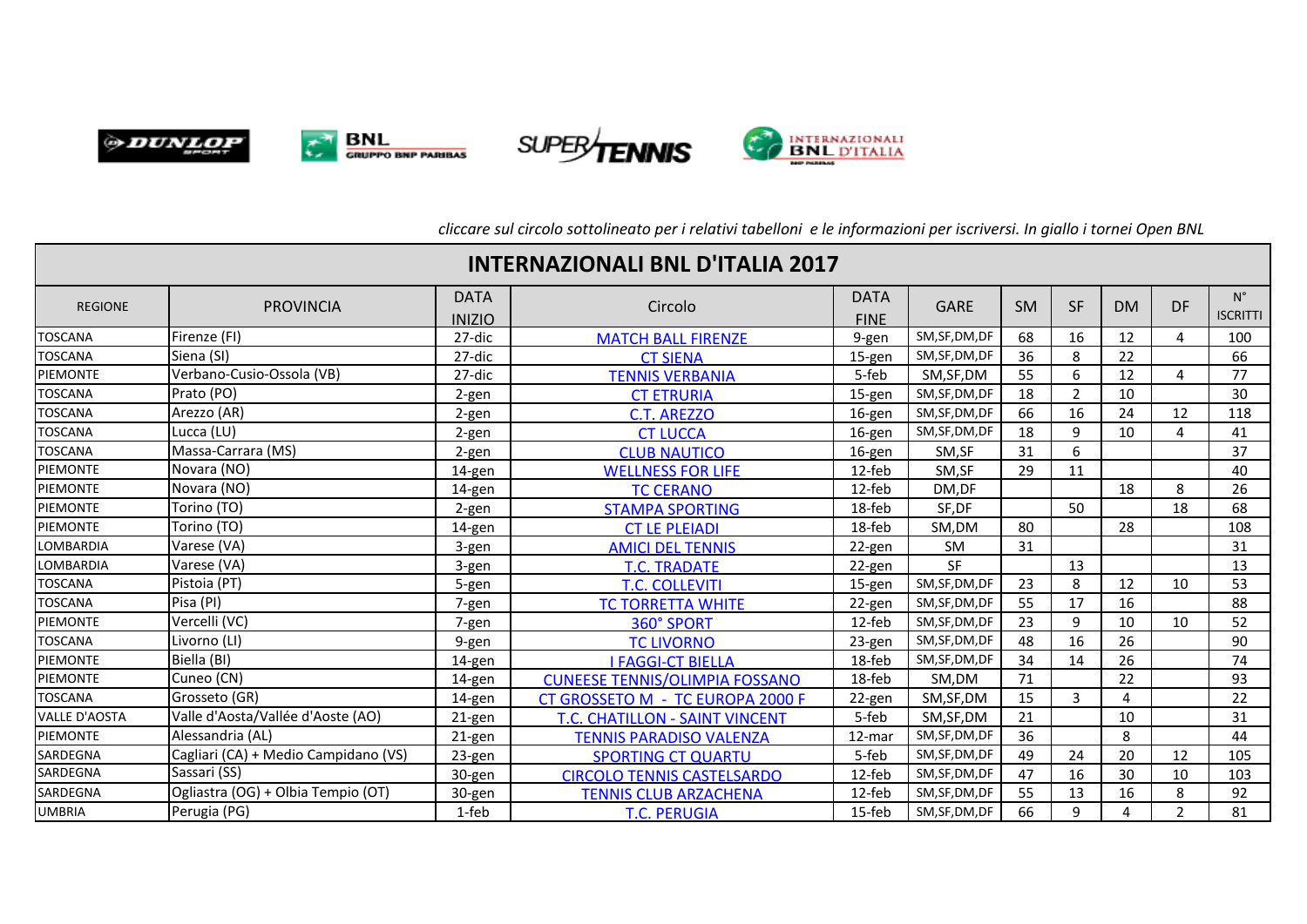







*cliccare sul circolo sottolineato per i relativi tabelloni e le informazioni per iscriversi. In giallo i tornei Open BNL*

| <b>INTERNAZIONALI BNL D'ITALIA 2017</b> |                                      |                              |                                       |                            |                |           |                |           |                |                                |
|-----------------------------------------|--------------------------------------|------------------------------|---------------------------------------|----------------------------|----------------|-----------|----------------|-----------|----------------|--------------------------------|
| <b>REGIONE</b>                          | <b>PROVINCIA</b>                     | <b>DATA</b><br><b>INIZIO</b> | Circolo                               | <b>DATA</b><br><b>FINE</b> | <b>GARE</b>    | <b>SM</b> | <b>SF</b>      | <b>DM</b> | <b>DF</b>      | $N^{\circ}$<br><b>ISCRITTI</b> |
| <b>TOSCANA</b>                          | Firenze (FI)                         | 27-dic                       | <b>MATCH BALL FIRENZE</b>             | 9-gen                      | SM, SF, DM, DF | 68        | 16             | 12        | 4              | 100                            |
| <b>TOSCANA</b>                          | Siena (SI)                           | 27-dic                       | <b>CT SIENA</b>                       | $15$ -gen                  | SM, SF, DM, DF | 36        | 8              | 22        |                | 66                             |
| PIEMONTE                                | Verbano-Cusio-Ossola (VB)            | 27-dic                       | <b>TENNIS VERBANIA</b>                | 5-feb                      | SM, SF, DM     | 55        | 6              | 12        | 4              | 77                             |
| <b>TOSCANA</b>                          | Prato (PO)                           | 2-gen                        | <b>CT ETRURIA</b>                     | 15-gen                     | SM, SF, DM, DF | 18        | $\overline{2}$ | 10        |                | 30                             |
| <b>TOSCANA</b>                          | Arezzo (AR)                          | 2-gen                        | <b>C.T. AREZZO</b>                    | 16-gen                     | SM, SF, DM, DF | 66        | 16             | 24        | 12             | 118                            |
| <b>TOSCANA</b>                          | Lucca (LU)                           | 2-gen                        | <b>CT LUCCA</b>                       | 16-gen                     | SM, SF, DM, DF | 18        | 9              | 10        | 4              | 41                             |
| <b>TOSCANA</b>                          | Massa-Carrara (MS)                   | 2-gen                        | <b>CLUB NAUTICO</b>                   | 16-gen                     | SM,SF          | 31        | 6              |           |                | 37                             |
| <b>PIEMONTE</b>                         | Novara (NO)                          | 14-gen                       | <b>WELLNESS FOR LIFE</b>              | 12-feb                     | SM,SF          | 29        | 11             |           |                | 40                             |
| <b>PIEMONTE</b>                         | Novara (NO)                          | 14-gen                       | <b>TC CERANO</b>                      | 12-feb                     | DM,DF          |           |                | 18        | 8              | 26                             |
| PIEMONTE                                | Torino (TO)                          | 2-gen                        | <b>STAMPA SPORTING</b>                | 18-feb                     | SF,DF          |           | 50             |           | 18             | 68                             |
| <b>PIEMONTE</b>                         | Torino (TO)                          | 14-gen                       | <b>CT LE PLEIADI</b>                  | 18-feb                     | SM,DM          | 80        |                | 28        |                | 108                            |
| <b>LOMBARDIA</b>                        | Varese (VA)                          | 3-gen                        | <b>AMICI DEL TENNIS</b>               | 22-gen                     | SM             | 31        |                |           |                | 31                             |
| <b>LOMBARDIA</b>                        | Varese (VA)                          | 3-gen                        | <b>T.C. TRADATE</b>                   | 22-gen                     | SF             |           | 13             |           |                | 13                             |
| <b>TOSCANA</b>                          | Pistoia (PT)                         | 5-gen                        | <b>T.C. COLLEVITI</b>                 | $15$ -gen                  | SM, SF, DM, DF | 23        | 8              | 12        | 10             | 53                             |
| <b>TOSCANA</b>                          | Pisa (PI)                            | 7-gen                        | <b>TC TORRETTA WHITE</b>              | 22-gen                     | SM,SF,DM,DF    | 55        | 17             | 16        |                | 88                             |
| PIEMONTE                                | Vercelli (VC)                        | 7-gen                        | 360° SPORT                            | 12-feb                     | SM, SF, DM, DF | 23        | 9              | 10        | 10             | 52                             |
| <b>TOSCANA</b>                          | Livorno (LI)                         | 9-gen                        | <b>TC LIVORNO</b>                     | 23-gen                     | SM, SF, DM, DF | 48        | 16             | 26        |                | 90                             |
| PIEMONTE                                | Biella (BI)                          | 14-gen                       | <b>I FAGGI-CT BIELLA</b>              | 18-feb                     | SM, SF, DM, DF | 34        | 14             | 26        |                | 74                             |
| PIEMONTE                                | Cuneo (CN)                           | 14-gen                       | <b>CUNEESE TENNIS/OLIMPIA FOSSANO</b> | 18-feb                     | SM.DM          | 71        |                | 22        |                | 93                             |
| <b>TOSCANA</b>                          | Grosseto (GR)                        | 14-gen                       | CT GROSSETO M - TC EUROPA 2000 F      | 22-gen                     | SM, SF, DM     | 15        | 3              | 4         |                | 22                             |
| <b>VALLE D'AOSTA</b>                    | Valle d'Aosta/Vallée d'Aoste (AO)    | 21-gen                       | T.C. CHATILLON - SAINT VINCENT        | 5-feb                      | SM, SF, DM     | 21        |                | 10        |                | 31                             |
| PIEMONTE                                | Alessandria (AL)                     | 21-gen                       | <b>TENNIS PARADISO VALENZA</b>        | 12-mar                     | SM, SF, DM, DF | 36        |                | 8         |                | 44                             |
| SARDEGNA                                | Cagliari (CA) + Medio Campidano (VS) | 23-gen                       | <b>SPORTING CT QUARTU</b>             | 5-feb                      | SM, SF, DM, DF | 49        | 24             | 20        | 12             | 105                            |
| SARDEGNA                                | Sassari (SS)                         | 30-gen                       | <b>CIRCOLO TENNIS CASTELSARDO</b>     | 12-feb                     | SM, SF, DM, DF | 47        | 16             | 30        | 10             | 103                            |
| SARDEGNA                                | Ogliastra (OG) + Olbia Tempio (OT)   | 30-gen                       | <b>TENNIS CLUB ARZACHENA</b>          | 12-feb                     | SM, SF, DM, DF | 55        | 13             | 16        | 8              | 92                             |
| <b>UMBRIA</b>                           | Perugia (PG)                         | 1-feb                        | <b>T.C. PERUGIA</b>                   | 15-feb                     | SM, SF, DM, DF | 66        | 9              | 4         | $\overline{2}$ | 81                             |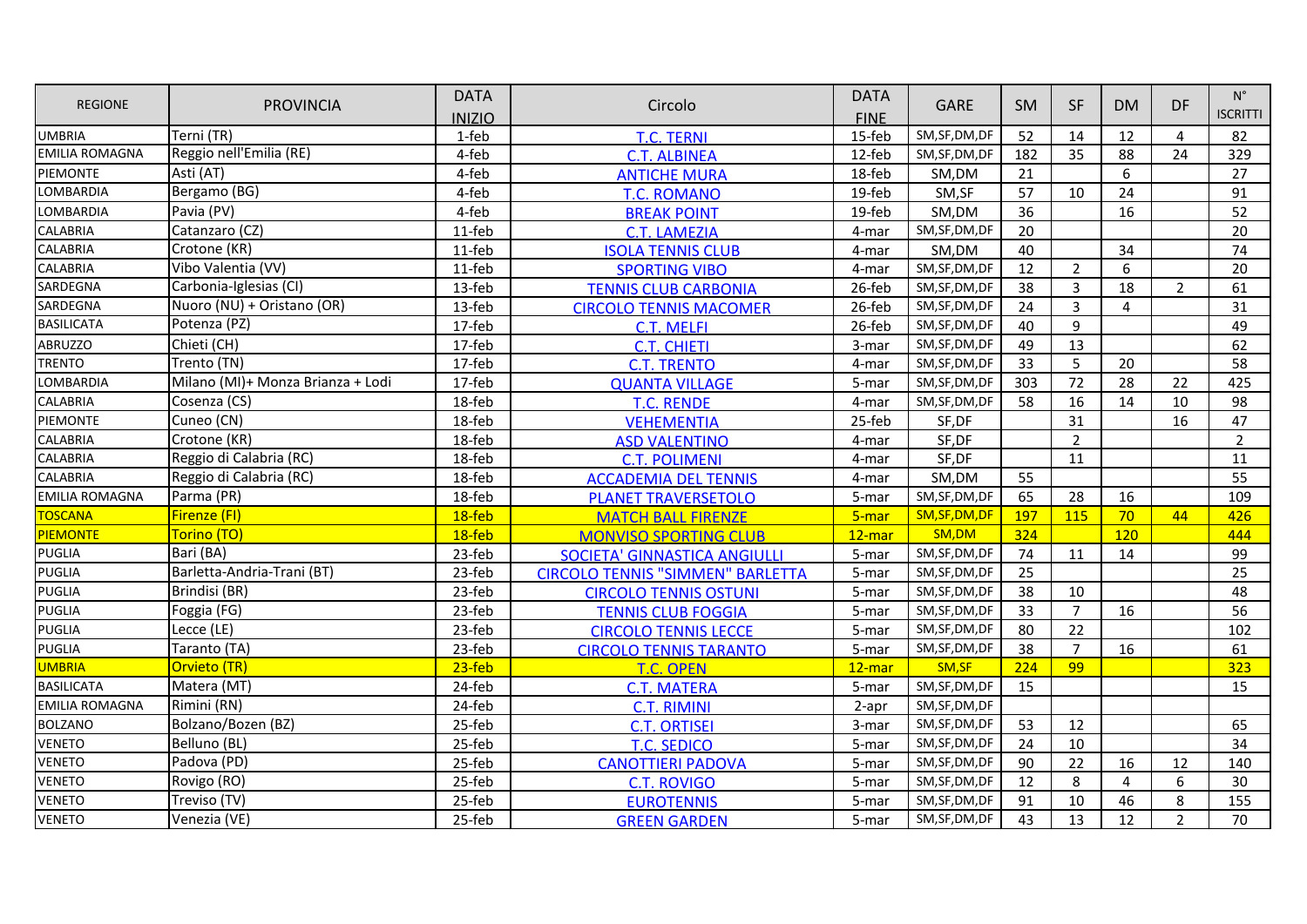| <b>REGIONE</b>        |                                   | <b>DATA</b>   |                                         | <b>DATA</b> |                |           |                | <b>DM</b>      | <b>DF</b>      | $N^{\circ}$<br><b>ISCRITTI</b> |
|-----------------------|-----------------------------------|---------------|-----------------------------------------|-------------|----------------|-----------|----------------|----------------|----------------|--------------------------------|
|                       | <b>PROVINCIA</b>                  | <b>INIZIO</b> | Circolo                                 | <b>FINE</b> | <b>GARE</b>    | <b>SM</b> | <b>SF</b>      |                |                |                                |
| <b>UMBRIA</b>         | Terni (TR)                        | 1-feb         | <b>T.C. TERNI</b>                       | 15-feb      | SM, SF, DM, DF | 52        | 14             | 12             | $\overline{4}$ | 82                             |
| <b>EMILIA ROMAGNA</b> | Reggio nell'Emilia (RE)           | 4-feb         | <b>C.T. ALBINEA</b>                     | 12-feb      | SM, SF, DM, DF | 182       | 35             | 88             | 24             | 329                            |
| PIEMONTE              | Asti (AT)                         | 4-feb         | <b>ANTICHE MURA</b>                     | 18-feb      | SM,DM          | 21        |                | 6              |                | 27                             |
| <b>LOMBARDIA</b>      | Bergamo (BG)                      | 4-feb         | <b>T.C. ROMANO</b>                      | 19-feb      | SM,SF          | 57        | 10             | 24             |                | 91                             |
| LOMBARDIA             | Pavia (PV)                        | 4-feb         | <b>BREAK POINT</b>                      | 19-feb      | SM,DM          | 36        |                | 16             |                | 52                             |
| <b>CALABRIA</b>       | Catanzaro (CZ)                    | 11-feb        | <b>C.T. LAMEZIA</b>                     | 4-mar       | SM, SF, DM, DF | 20        |                |                |                | 20                             |
| <b>CALABRIA</b>       | Crotone (KR)                      | 11-feb        | <b>ISOLA TENNIS CLUB</b>                | 4-mar       | SM,DM          | 40        |                | 34             |                | 74                             |
| <b>CALABRIA</b>       | Vibo Valentia (VV)                | 11-feb        | <b>SPORTING VIBO</b>                    | 4-mar       | SM, SF, DM, DF | 12        | $\overline{2}$ | 6              |                | 20                             |
| SARDEGNA              | Carbonia-Iglesias (CI)            | 13-feb        | <b>TENNIS CLUB CARBONIA</b>             | 26-feb      | SM, SF, DM, DF | 38        | $\overline{3}$ | 18             | $\overline{2}$ | 61                             |
| SARDEGNA              | Nuoro (NU) + Oristano (OR)        | 13-feb        | <b>CIRCOLO TENNIS MACOMER</b>           | 26-feb      | SM, SF, DM, DF | 24        | $\overline{3}$ | 4              |                | 31                             |
| <b>BASILICATA</b>     | Potenza (PZ)                      | 17-feb        | C.T. MELFI                              | 26-feb      | SM, SF, DM, DF | 40        | 9              |                |                | 49                             |
| <b>ABRUZZO</b>        | Chieti (CH)                       | 17-feb        | <b>C.T. CHIETI</b>                      | 3-mar       | SM, SF, DM, DF | 49        | 13             |                |                | 62                             |
| <b>TRENTO</b>         | Trento (TN)                       | 17-feb        | <b>C.T. TRENTO</b>                      | 4-mar       | SM, SF, DM, DF | 33        | 5              | 20             |                | 58                             |
| LOMBARDIA             | Milano (MI)+ Monza Brianza + Lodi | 17-feb        | <b>QUANTA VILLAGE</b>                   | 5-mar       | SM, SF, DM, DF | 303       | 72             | 28             | 22             | 425                            |
| <b>CALABRIA</b>       | Cosenza (CS)                      | 18-feb        | <b>T.C. RENDE</b>                       | 4-mar       | SM, SF, DM, DF | 58        | 16             | 14             | 10             | 98                             |
| PIEMONTE              | Cuneo (CN)                        | 18-feb        | <b>VEHEMENTIA</b>                       | 25-feb      | SF,DF          |           | 31             |                | 16             | 47                             |
| <b>CALABRIA</b>       | Crotone (KR)                      | 18-feb        | <b>ASD VALENTINO</b>                    | 4-mar       | SF,DF          |           | $\overline{2}$ |                |                | $\overline{2}$                 |
| <b>CALABRIA</b>       | Reggio di Calabria (RC)           | 18-feb        | <b>C.T. POLIMENI</b>                    | 4-mar       | SF,DF          |           | 11             |                |                | 11                             |
| <b>CALABRIA</b>       | Reggio di Calabria (RC)           | 18-feb        | <b>ACCADEMIA DEL TENNIS</b>             | 4-mar       | SM,DM          | 55        |                |                |                | 55                             |
| <b>EMILIA ROMAGNA</b> | Parma (PR)                        | 18-feb        | <b>PLANET TRAVERSETOLO</b>              | 5-mar       | SM, SF, DM, DF | 65        | 28             | 16             |                | 109                            |
| <b>TOSCANA</b>        | Firenze (FI)                      | $18$ -feb     | <b>MATCH BALL FIRENZE</b>               | 5-mar       | SM, SF, DM, DF | 197       | 115            | 70             | 44             | 426                            |
| <b>PIEMONTE</b>       | Torino (TO)                       | 18-feb        | <b>MONVISO SPORTING CLUB</b>            | $12$ -mar   | SM,DM          | 324       |                | 120            |                | 444                            |
| <b>PUGLIA</b>         | Bari (BA)                         | 23-feb        | <b>SOCIETA' GINNASTICA ANGIULLI</b>     | 5-mar       | SM, SF, DM, DF | 74        | 11             | 14             |                | 99                             |
| <b>PUGLIA</b>         | Barletta-Andria-Trani (BT)        | 23-feb        | <b>CIRCOLO TENNIS "SIMMEN" BARLETTA</b> | 5-mar       | SM, SF, DM, DF | 25        |                |                |                | 25                             |
| <b>PUGLIA</b>         | Brindisi (BR)                     | 23-feb        | <b>CIRCOLO TENNIS OSTUNI</b>            | 5-mar       | SM, SF, DM, DF | 38        | 10             |                |                | 48                             |
| <b>PUGLIA</b>         | Foggia (FG)                       | 23-feb        | <b>TENNIS CLUB FOGGIA</b>               | 5-mar       | SM, SF, DM, DF | 33        | $\overline{7}$ | 16             |                | 56                             |
| <b>PUGLIA</b>         | Lecce (LE)                        | 23-feb        | <b>CIRCOLO TENNIS LECCE</b>             | 5-mar       | SM, SF, DM, DF | 80        | 22             |                |                | 102                            |
| <b>PUGLIA</b>         | Taranto (TA)                      | 23-feb        | <b>CIRCOLO TENNIS TARANTO</b>           | 5-mar       | SM, SF, DM, DF | 38        | $\overline{7}$ | 16             |                | 61                             |
| <b>UMBRIA</b>         | Orvieto (TR)                      | $23$ -feb     | T.C. OPEN                               | $12$ -mar   | SM, SF         | 224       | 99             |                |                | 323                            |
| <b>BASILICATA</b>     | Matera (MT)                       | 24-feb        | <b>C.T. MATERA</b>                      | 5-mar       | SM, SF, DM, DF | 15        |                |                |                | 15                             |
| <b>EMILIA ROMAGNA</b> | Rimini (RN)                       | 24-feb        | <b>C.T. RIMINI</b>                      | 2-apr       | SM, SF, DM, DF |           |                |                |                |                                |
| <b>BOLZANO</b>        | Bolzano/Bozen (BZ)                | 25-feb        | <b>C.T. ORTISEI</b>                     | 3-mar       | SM, SF, DM, DF | 53        | 12             |                |                | 65                             |
| <b>VENETO</b>         | Belluno (BL)                      | 25-feb        | <b>T.C. SEDICO</b>                      | 5-mar       | SM, SF, DM, DF | 24        | 10             |                |                | 34                             |
| <b>VENETO</b>         | Padova (PD)                       | 25-feb        | <b>CANOTTIERI PADOVA</b>                | 5-mar       | SM, SF, DM, DF | 90        | 22             | 16             | 12             | 140                            |
| <b>VENETO</b>         | Rovigo (RO)                       | 25-feb        | <b>C.T. ROVIGO</b>                      | 5-mar       | SM, SF, DM, DF | 12        | 8              | $\overline{4}$ | 6              | 30                             |
| <b>VENETO</b>         | Treviso (TV)                      | 25-feb        | <b>EUROTENNIS</b>                       | 5-mar       | SM, SF, DM, DF | 91        | 10             | 46             | 8              | 155                            |
| <b>VENETO</b>         | Venezia (VE)                      | 25-feb        | <b>GREEN GARDEN</b>                     | 5-mar       | SM, SF, DM, DF | 43        | 13             | 12             | $\overline{2}$ | 70                             |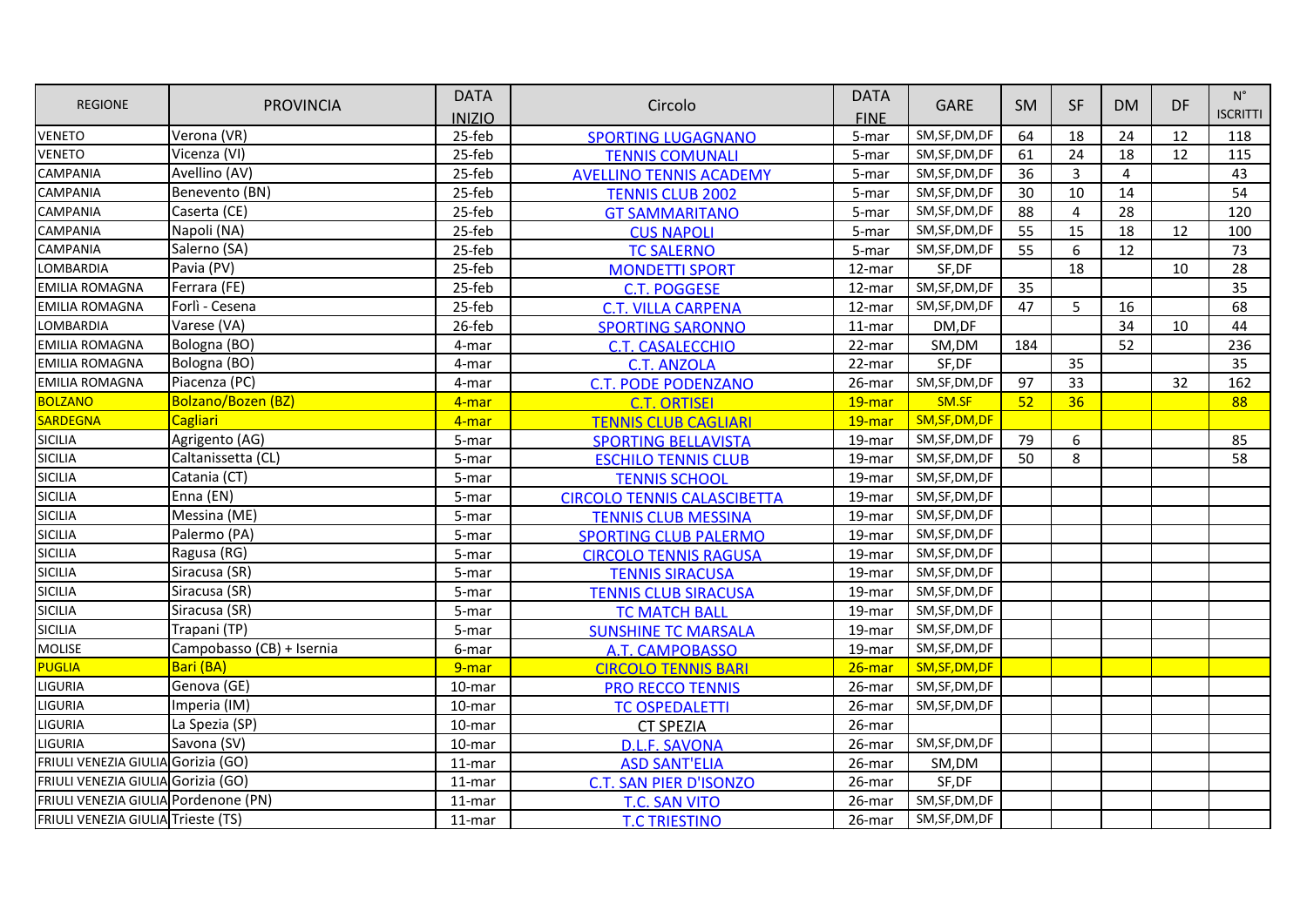|                                      |                           | <b>DATA</b>   |                                    | <b>DATA</b> |                |           | <b>SF</b> | <b>DM</b>      | DF | $\mathsf{N}^\circ$ |
|--------------------------------------|---------------------------|---------------|------------------------------------|-------------|----------------|-----------|-----------|----------------|----|--------------------|
| <b>REGIONE</b>                       | <b>PROVINCIA</b>          | <b>INIZIO</b> | Circolo                            | <b>FINE</b> | <b>GARE</b>    | <b>SM</b> |           |                |    | <b>ISCRITTI</b>    |
| <b>VENETO</b>                        | Verona (VR)               | 25-feb        | <b>SPORTING LUGAGNANO</b>          | 5-mar       | SM, SF, DM, DF | 64        | 18        | 24             | 12 | 118                |
| <b>VENETO</b>                        | Vicenza (VI)              | 25-feb        | <b>TENNIS COMUNALI</b>             | 5-mar       | SM, SF, DM, DF | 61        | 24        | 18             | 12 | 115                |
| <b>CAMPANIA</b>                      | Avellino (AV)             | 25-feb        | <b>AVELLINO TENNIS ACADEMY</b>     | 5-mar       | SM, SF, DM, DF | 36        | 3         | $\overline{4}$ |    | 43                 |
| <b>CAMPANIA</b>                      | Benevento (BN)            | 25-feb        | <b>TENNIS CLUB 2002</b>            | 5-mar       | SM, SF, DM, DF | 30        | 10        | 14             |    | 54                 |
| <b>CAMPANIA</b>                      | Caserta (CE)              | 25-feb        | <b>GT SAMMARITANO</b>              | $5-mar$     | SM, SF, DM, DF | 88        | 4         | 28             |    | 120                |
| <b>CAMPANIA</b>                      | Napoli (NA)               | 25-feb        | <b>CUS NAPOLI</b>                  | 5-mar       | SM, SF, DM, DF | 55        | 15        | 18             | 12 | 100                |
| <b>CAMPANIA</b>                      | Salerno (SA)              | 25-feb        | <b>TC SALERNO</b>                  | 5-mar       | SM, SF, DM, DF | 55        | 6         | 12             |    | 73                 |
| LOMBARDIA                            | Pavia (PV)                | 25-feb        | <b>MONDETTI SPORT</b>              | 12-mar      | SF,DF          |           | 18        |                | 10 | 28                 |
| <b>EMILIA ROMAGNA</b>                | Ferrara (FE)              | 25-feb        | <b>C.T. POGGESE</b>                | 12-mar      | SM, SF, DM, DF | 35        |           |                |    | 35                 |
| <b>EMILIA ROMAGNA</b>                | Forlì - Cesena            | 25-feb        | <b>C.T. VILLA CARPENA</b>          | 12-mar      | SM, SF, DM, DF | 47        | 5         | 16             |    | 68                 |
| LOMBARDIA                            | Varese (VA)               | 26-feb        | <b>SPORTING SARONNO</b>            | $11$ -mar   | DM,DF          |           |           | 34             | 10 | 44                 |
| <b>EMILIA ROMAGNA</b>                | Bologna (BO)              | 4-mar         | <b>C.T. CASALECCHIO</b>            | 22-mar      | SM,DM          | 184       |           | 52             |    | 236                |
| <b>EMILIA ROMAGNA</b>                | Bologna (BO)              | 4-mar         | <b>C.T. ANZOLA</b>                 | 22-mar      | SF,DF          |           | 35        |                |    | 35                 |
| <b>EMILIA ROMAGNA</b>                | Piacenza (PC)             | 4-mar         | <b>C.T. PODE PODENZANO</b>         | 26-mar      | SM, SF, DM, DF | 97        | 33        |                | 32 | 162                |
| <b>BOLZANO</b>                       | Bolzano/Bozen (BZ)        | 4-mar         | <b>C.T. ORTISEI</b>                | 19-mar      | SM.SF          | 52        | 36        |                |    | 88                 |
| SARDEGNA                             | <b>Cagliari</b>           | 4-mar         | <b>TENNIS CLUB CAGLIARI</b>        | 19-mar      | SM, SF, DM, DF |           |           |                |    |                    |
| <b>SICILIA</b>                       | Agrigento (AG)            | 5-mar         | <b>SPORTING BELLAVISTA</b>         | 19-mar      | SM, SF, DM, DF | 79        | 6         |                |    | 85                 |
| <b>SICILIA</b>                       | Caltanissetta (CL)        | 5-mar         | <b>ESCHILO TENNIS CLUB</b>         | 19-mar      | SM, SF, DM, DF | 50        | 8         |                |    | 58                 |
| <b>SICILIA</b>                       | Catania (CT)              | 5-mar         | <b>TENNIS SCHOOL</b>               | 19-mar      | SM, SF, DM, DF |           |           |                |    |                    |
| <b>SICILIA</b>                       | Enna (EN)                 | 5-mar         | <b>CIRCOLO TENNIS CALASCIBETTA</b> | 19-mar      | SM, SF, DM, DF |           |           |                |    |                    |
| <b>SICILIA</b>                       | Messina (ME)              | 5-mar         | <b>TENNIS CLUB MESSINA</b>         | 19-mar      | SM, SF, DM, DF |           |           |                |    |                    |
| <b>SICILIA</b>                       | Palermo (PA)              | 5-mar         | <b>SPORTING CLUB PALERMO</b>       | 19-mar      | SM, SF, DM, DF |           |           |                |    |                    |
| <b>SICILIA</b>                       | Ragusa (RG)               | 5-mar         | <b>CIRCOLO TENNIS RAGUSA</b>       | 19-mar      | SM, SF, DM, DF |           |           |                |    |                    |
| <b>SICILIA</b>                       | Siracusa (SR)             | 5-mar         | <b>TENNIS SIRACUSA</b>             | 19-mar      | SM, SF, DM, DF |           |           |                |    |                    |
| <b>SICILIA</b>                       | Siracusa (SR)             | 5-mar         | <b>TENNIS CLUB SIRACUSA</b>        | 19-mar      | SM, SF, DM, DF |           |           |                |    |                    |
| <b>SICILIA</b>                       | Siracusa (SR)             | 5-mar         | <b>TC MATCH BALL</b>               | 19-mar      | SM, SF, DM, DF |           |           |                |    |                    |
| <b>SICILIA</b>                       | Trapani (TP)              | 5-mar         | <b>SUNSHINE TC MARSALA</b>         | 19-mar      | SM, SF, DM, DF |           |           |                |    |                    |
| <b>MOLISE</b>                        | Campobasso (CB) + Isernia | 6-mar         | A.T. CAMPOBASSO                    | 19-mar      | SM, SF, DM, DF |           |           |                |    |                    |
| <b>PUGLIA</b>                        | Bari (BA)                 | 9-mar         | <b>CIRCOLO TENNIS BARI</b>         | $26$ -mar   | SM, SF, DM, DF |           |           |                |    |                    |
| LIGURIA                              | Genova (GE)               | 10-mar        | <b>PRO RECCO TENNIS</b>            | 26-mar      | SM, SF, DM, DF |           |           |                |    |                    |
| <b>LIGURIA</b>                       | Imperia (IM)              | 10-mar        | <b>TC OSPEDALETTI</b>              | 26-mar      | SM, SF, DM, DF |           |           |                |    |                    |
| <b>LIGURIA</b>                       | La Spezia (SP)            | 10-mar        | <b>CT SPEZIA</b>                   | 26-mar      |                |           |           |                |    |                    |
| <b>LIGURIA</b>                       | Savona (SV)               | 10-mar        | <b>D.L.F. SAVONA</b>               | 26-mar      | SM, SF, DM, DF |           |           |                |    |                    |
| FRIULI VENEZIA GIULIA Gorizia (GO)   |                           | 11-mar        | <b>ASD SANT'ELIA</b>               | 26-mar      | SM,DM          |           |           |                |    |                    |
| FRIULI VENEZIA GIULIA Gorizia (GO)   |                           | $11$ -mar     | <b>C.T. SAN PIER D'ISONZO</b>      | 26-mar      | SF,DF          |           |           |                |    |                    |
| FRIULI VENEZIA GIULIA Pordenone (PN) |                           | 11-mar        | <b>T.C. SAN VITO</b>               | 26-mar      | SM, SF, DM, DF |           |           |                |    |                    |
| FRIULI VENEZIA GIULIA Trieste (TS)   |                           | 11-mar        | <b>T.C TRIESTINO</b>               | 26-mar      | SM, SF, DM, DF |           |           |                |    |                    |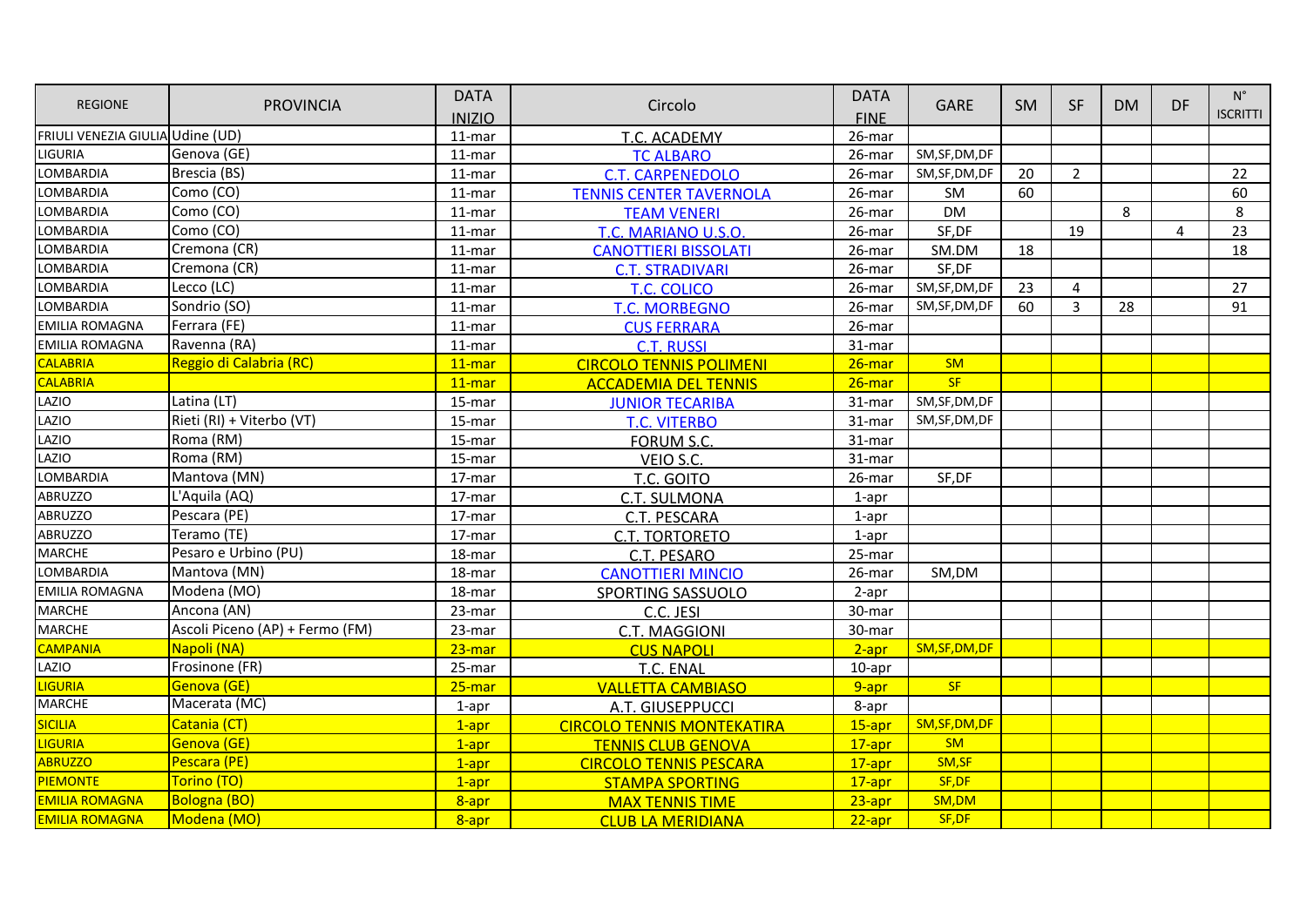| <b>REGIONE</b>                   | <b>PROVINCIA</b>                | <b>DATA</b>   | Circolo                           | <b>DATA</b> | <b>GARE</b>    | SM. | <b>SF</b>      | <b>DM</b> | DF. | $N^{\circ}$     |
|----------------------------------|---------------------------------|---------------|-----------------------------------|-------------|----------------|-----|----------------|-----------|-----|-----------------|
|                                  |                                 | <b>INIZIO</b> |                                   | <b>FINE</b> |                |     |                |           |     | <b>ISCRITTI</b> |
| FRIULI VENEZIA GIULIA Udine (UD) |                                 | 11-mar        | T.C. ACADEMY                      | 26-mar      |                |     |                |           |     |                 |
| LIGURIA                          | Genova (GE)                     | 11-mar        | <b>TC ALBARO</b>                  | 26-mar      | SM, SF, DM, DF |     |                |           |     |                 |
| LOMBARDIA                        | Brescia (BS)                    | 11-mar        | <b>C.T. CARPENEDOLO</b>           | 26-mar      | SM, SF, DM, DF | 20  | $\overline{2}$ |           |     | 22              |
| LOMBARDIA                        | Como (CO)                       | 11-mar        | <b>TENNIS CENTER TAVERNOLA</b>    | 26-mar      | SM             | 60  |                |           |     | 60              |
| LOMBARDIA                        | Como (CO)                       | 11-mar        | <b>TEAM VENERI</b>                | 26-mar      | <b>DM</b>      |     |                | 8         |     | 8               |
| LOMBARDIA                        | Como (CO)                       | 11-mar        | T.C. MARIANO U.S.O.               | 26-mar      | SF,DF          |     | 19             |           | 4   | 23              |
| <b>LOMBARDIA</b>                 | Cremona (CR)                    | 11-mar        | <b>CANOTTIERI BISSOLATI</b>       | 26-mar      | SM.DM          | 18  |                |           |     | 18              |
| LOMBARDIA                        | Cremona (CR)                    | 11-mar        | <b>C.T. STRADIVARI</b>            | 26-mar      | SF,DF          |     |                |           |     |                 |
| LOMBARDIA                        | Lecco (LC)                      | 11-mar        | <b>T.C. COLICO</b>                | 26-mar      | SM, SF, DM, DF | 23  | $\overline{a}$ |           |     | 27              |
| <b>LOMBARDIA</b>                 | Sondrio (SO)                    | $11$ -mar     | <b>T.C. MORBEGNO</b>              | 26-mar      | SM, SF, DM, DF | 60  | 3              | 28        |     | 91              |
| <b>EMILIA ROMAGNA</b>            | Ferrara (FE)                    | 11-mar        | <b>CUS FERRARA</b>                | 26-mar      |                |     |                |           |     |                 |
| <b>EMILIA ROMAGNA</b>            | Ravenna (RA)                    | 11-mar        | <b>C.T. RUSSI</b>                 | 31-mar      |                |     |                |           |     |                 |
| <b>CALABRIA</b>                  | Reggio di Calabria (RC)         | $11$ -mar     | <b>CIRCOLO TENNIS POLIMENI</b>    | $26$ -mar   | SM             |     |                |           |     |                 |
| <b>CALABRIA</b>                  |                                 | $11$ -mar     | <b>ACCADEMIA DEL TENNIS</b>       | $26$ -mar   | <b>SF</b>      |     |                |           |     |                 |
| LAZIO                            | Latina (LT)                     | 15-mar        | <b>JUNIOR TECARIBA</b>            | 31-mar      | SM, SF, DM, DF |     |                |           |     |                 |
| LAZIO                            | Rieti (RI) + Viterbo (VT)       | 15-mar        | <b>T.C. VITERBO</b>               | 31-mar      | SM, SF, DM, DF |     |                |           |     |                 |
| LAZIO                            | Roma (RM)                       | 15-mar        | FORUM S.C.                        | 31-mar      |                |     |                |           |     |                 |
| LAZIO                            | Roma (RM)                       | 15-mar        | VEIO S.C.                         | 31-mar      |                |     |                |           |     |                 |
| LOMBARDIA                        | Mantova (MN)                    | 17-mar        | T.C. GOITO                        | 26-mar      | SF,DF          |     |                |           |     |                 |
| <b>ABRUZZO</b>                   | L'Aquila (AQ)                   | 17-mar        | C.T. SULMONA                      | $1$ -apr    |                |     |                |           |     |                 |
| <b>ABRUZZO</b>                   | Pescara (PE)                    | 17-mar        | C.T. PESCARA                      | $1$ -apr    |                |     |                |           |     |                 |
| <b>ABRUZZO</b>                   | Teramo (TE)                     | 17-mar        | <b>C.T. TORTORETO</b>             | $1$ -apr    |                |     |                |           |     |                 |
| <b>MARCHE</b>                    | Pesaro e Urbino (PU)            | 18-mar        | C.T. PESARO                       | 25-mar      |                |     |                |           |     |                 |
| LOMBARDIA                        | Mantova (MN)                    | 18-mar        | <b>CANOTTIERI MINCIO</b>          | 26-mar      | SM,DM          |     |                |           |     |                 |
| <b>EMILIA ROMAGNA</b>            | Modena (MO)                     | 18-mar        | <b>SPORTING SASSUOLO</b>          | 2-apr       |                |     |                |           |     |                 |
| <b>MARCHE</b>                    | Ancona (AN)                     | 23-mar        | C.C. JESI                         | 30-mar      |                |     |                |           |     |                 |
| <b>MARCHE</b>                    | Ascoli Piceno (AP) + Fermo (FM) | 23-mar        | C.T. MAGGIONI                     | 30-mar      |                |     |                |           |     |                 |
| <b>CAMPANIA</b>                  | Napoli (NA)                     | $23$ -mar     | <b>CUS NAPOLI</b>                 | $2-apr$     | SM, SF, DM, DF |     |                |           |     |                 |
| LAZIO                            | Frosinone (FR)                  | 25-mar        | T.C. ENAL                         | 10-apr      |                |     |                |           |     |                 |
| <b>LIGURIA</b>                   | Genova (GE)                     | $25 - $ mar   | <b>VALLETTA CAMBIASO</b>          | 9-apr       | <b>SF</b>      |     |                |           |     |                 |
| <b>MARCHE</b>                    | Macerata (MC)                   | $1$ -apr      | A.T. GIUSEPPUCCI                  | 8-apr       |                |     |                |           |     |                 |
| <b>SICILIA</b>                   | Catania (CT)                    | $1$ -apr      | <b>CIRCOLO TENNIS MONTEKATIRA</b> | $15-apr$    | SM, SF, DM, DF |     |                |           |     |                 |
| <mark>LIGURIA</mark>             | Genova (GE)                     | $1$ -apr      | <b>TENNIS CLUB GENOVA</b>         | $17$ -apr   | SM             |     |                |           |     |                 |
| <b>ABRUZZO</b>                   | Pescara (PE)                    | $1$ -apr      | <b>CIRCOLO TENNIS PESCARA</b>     | $17$ -apr   | SM, SF         |     |                |           |     |                 |
| <b>PIEMONTE</b>                  | Torino (TO)                     | $1$ -apr      | <b>STAMPA SPORTING</b>            | 17-apr      | SF, DF         |     |                |           |     |                 |
| <b>EMILIA ROMAGNA</b>            | <b>Bologna (BO)</b>             | 8-apr         | <b>MAX TENNIS TIME</b>            | $23$ -apr   | SM,DM          |     |                |           |     |                 |
| <b>EMILIA ROMAGNA</b>            | Modena (MO)                     | 8-apr         | <b>CLUB LA MERIDIANA</b>          | $22$ -apr   | SF, DF         |     |                |           |     |                 |